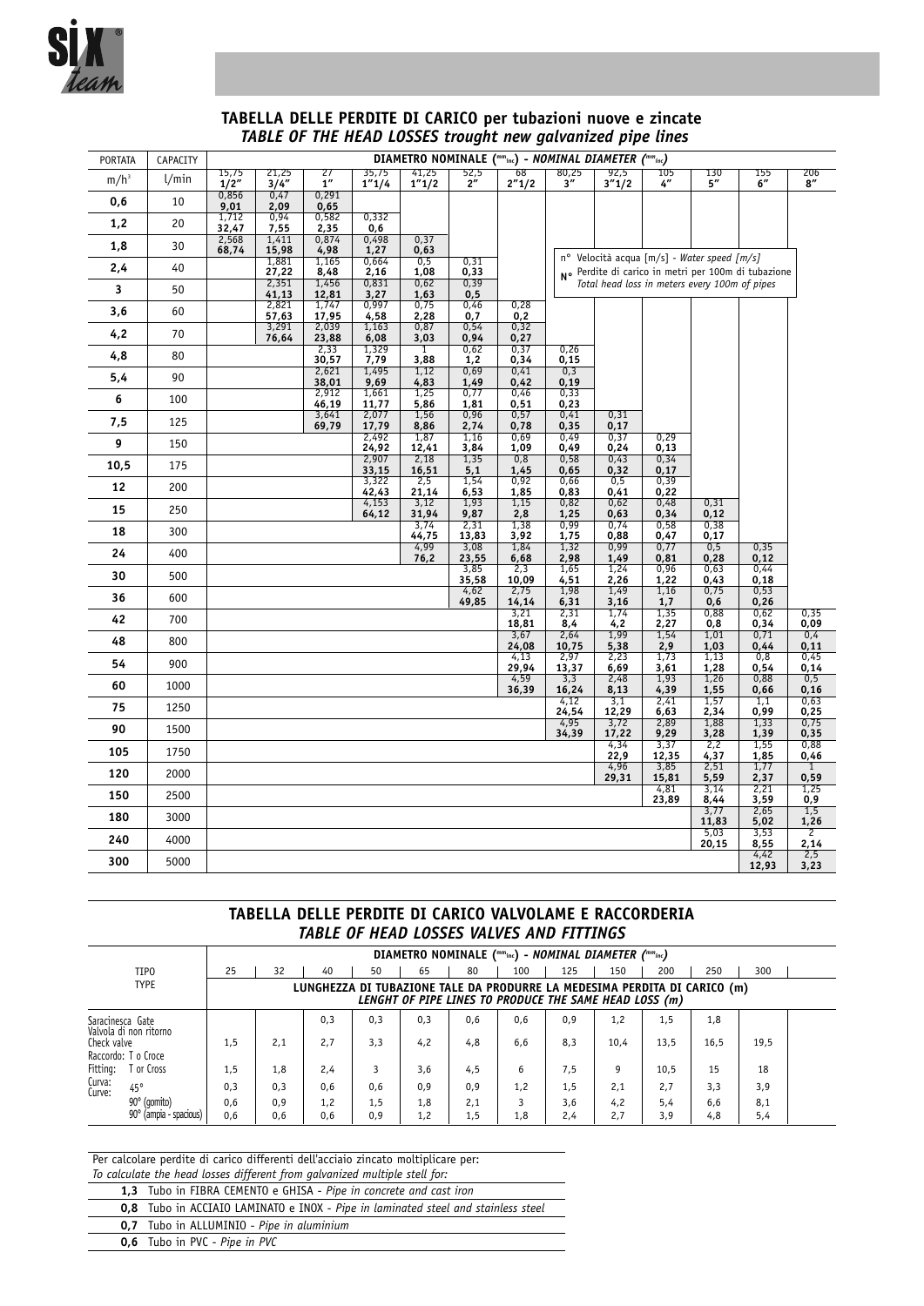

## **TABELLA DELLE PERDITE DI CARICO per tubazioni nuove e zincate** *TABLE OF THE HEAD LOSSES trought new galvanized pipe lines*

| <b>PORTATA</b> | CAPACITY | DIAMETRO NOMINALE (""inc) - NOMINAL DIAMETER (""inc) |                |                |                 |                |                  |               |                   |                     |                           |                                                                                                    |               |                        |
|----------------|----------|------------------------------------------------------|----------------|----------------|-----------------|----------------|------------------|---------------|-------------------|---------------------|---------------------------|----------------------------------------------------------------------------------------------------|---------------|------------------------|
| $m/h^3$        | 1/min    | 15,75<br>1/2"                                        | 21,25<br>3/4'' | 27<br>1''      | 35,75<br>1''1/4 | 41,25<br>1"1/2 | $\frac{52,5}{2}$ | 68<br>2''1/2  | $\frac{80,25}{3}$ | 92,5<br>3''1/2      | 105<br>$4^{\prime\prime}$ | 130<br>5''                                                                                         | 155<br>6"     | 206<br>8''             |
| 0,6            | 10       | 0,856<br>9,01                                        | 0,47<br>2,09   | 0,291<br>0,65  |                 |                |                  |               |                   |                     |                           |                                                                                                    |               |                        |
| 1,2            | 20       | 1,712<br>32,47                                       | 0,94<br>7,55   | 0,582<br>2,35  | 0,332<br>0,6    |                |                  |               |                   |                     |                           |                                                                                                    |               |                        |
| 1,8            | 30       | 2,568<br>68,74                                       | 1,411<br>15,98 | 0,874<br>4,98  | 0,498<br>1,27   | 0,37<br>0,63   |                  |               |                   |                     |                           |                                                                                                    |               |                        |
| 2,4            | 40       |                                                      | 1,881<br>27,22 | 1,165<br>8,48  | 0,664<br>2,16   | 0,5<br>1,08    | 0,31<br>0,33     |               |                   |                     |                           | n° Velocità acqua [m/s] - Water speed [m/s]<br>No Perdite di carico in metri per 100m di tubazione |               |                        |
| 3              | 50       |                                                      | 2,351<br>41,13 | 1,456<br>12,81 | 0,831<br>3,27   | 0,62<br>1,63   | 0, 39<br>0,5     |               |                   |                     |                           | Total head loss in meters every 100m of pipes                                                      |               |                        |
| 3,6            | 60       |                                                      | 2,821<br>57,63 | 1,747<br>17,95 | 0,997<br>4,58   | 0,75<br>2,28   | 0,46<br>0,7      | 0,28<br>0,2   |                   |                     |                           |                                                                                                    |               |                        |
| 4,2            | 70       |                                                      | 3,291<br>76,64 | 2,039<br>23,88 | 1,163<br>6,08   | 0,87<br>3,03   | 0,54<br>0,94     | 0,32<br>0,27  |                   |                     |                           |                                                                                                    |               |                        |
| 4,8            | 80       |                                                      |                | 2,33<br>30,57  | 1,329<br>7,79   | 1<br>3,88      | 0,62<br>1,2      | 0,37<br>0,34  | 0,26<br>0,15      |                     |                           |                                                                                                    |               |                        |
| 5,4            | 90       |                                                      |                | 2,621<br>38,01 | 1,495<br>9,69   | 1,12<br>4,83   | 0,69<br>1,49     | 0,41<br>0,42  | 0,3<br>0, 19      |                     |                           |                                                                                                    |               |                        |
| 6              | 100      |                                                      |                | 2,912<br>46,19 | 1,661<br>11,77  | 1,25<br>5,86   | 0,77<br>1,81     | 0,46<br>0,51  | 0,33<br>0,23      |                     |                           |                                                                                                    |               |                        |
| 7,5            | 125      |                                                      |                | 3,641<br>69,79 | 2,077<br>17,79  | 1,56<br>8,86   | 0,96<br>2,74     | 0,57<br>0,78  | 0,41<br>0,35      | 0,31<br>0,17        |                           |                                                                                                    |               |                        |
| 9              | 150      |                                                      |                |                | 2,492<br>24,92  | 1,87<br>12,41  | 1,16<br>3,84     | 0,69<br>1,09  | 0,49<br>0,49      | 0,37<br>0,24        | 0,29<br>0,13              |                                                                                                    |               |                        |
| 10,5           | 175      |                                                      |                |                | 2,907<br>33,15  | 2,18<br>16,51  | 1,35<br>5,1      | 0,8<br>1,45   | 0,58<br>0,65      | 0,43<br>0,32        | 0,34<br>0,17              |                                                                                                    |               |                        |
| 12             | 200      |                                                      |                |                | 3,322<br>42,43  | 2,5<br>21,14   | 1,54<br>6,53     | 0,92<br>1,85  | 0,66<br>0,83      | 0,5<br>0,41         | 0, 39<br>0,22             |                                                                                                    |               |                        |
| 15             | 250      |                                                      |                |                | 4,153<br>64,12  | 3,12<br>31,94  | 1,93<br>9,87     | 1,15<br>2,8   | 0,82<br>1,25      | 0,62<br>0,63        | 0,48<br>0,34              | 0,31<br>0,12                                                                                       |               |                        |
| 18             | 300      |                                                      |                |                |                 | 3,74<br>44,75  | 2,31<br>13,83    | 1,38<br>3,92  | 0,99<br>1,75      | 0,74<br>0,88        | 0,58<br>0,47              | 0,38<br>0,17                                                                                       |               |                        |
| 24             | 400      |                                                      |                |                |                 | 4,99<br>76,2   | 3,08<br>23,55    | 1,84<br>6,68  | 1,32<br>2,98      | 0,99<br>1,49        | 0,77<br>0,81              | 0,5<br>0,28                                                                                        | 0,35<br>0,12  |                        |
| 30             | 500      |                                                      |                |                |                 |                | 3,85<br>35,58    | 2,3<br>10,09  | 1,65<br>4,51      | 1,24<br>2,26        | 0,96<br>1,22              | 0,63<br>0,43                                                                                       | 0,44<br>0,18  |                        |
| 36             | 600      |                                                      |                |                |                 |                | 4,62<br>49,85    | 2,75<br>14,14 | 1,98<br>6,31      | 1,49<br>3,16        | 1,16<br>1,7               | 0,75<br>0,6                                                                                        | 0,53<br>0,26  |                        |
| 42             | 700      |                                                      |                |                |                 |                |                  | 3,21<br>18,81 | 2,31<br>8,4       | 1,74<br>4,2         | 1,35<br>2,27              | 0,88<br>0,8                                                                                        | 0,62<br>0,34  | 0,35<br>0,09           |
| 48             | 800      |                                                      |                |                |                 |                |                  | 3,67<br>24,08 | 2,64<br>10,75     | 1,99<br>5,38        | 1,54<br>2,9               | 1,01<br>1,03                                                                                       | 0,71<br>0,44  | 0,4<br>0,11            |
| 54             | 900      |                                                      |                |                |                 |                |                  | 4,13<br>29,94 | 2,97<br>13,37     | 2,23<br>6,69        | 1,73<br>3,61              | 1,13<br>1,28                                                                                       | 0,8<br>0,54   | 0,45<br>0,14           |
| 60             | 1000     |                                                      |                |                |                 |                |                  | 4,59<br>36,39 | 3,3<br>16,24      | 2,48<br>8,13        | 1,93<br>4,39              | 1,26<br>1,55                                                                                       | 0,88<br>0,66  | 0,5<br>0, 16           |
| 75             | 1250     |                                                      |                |                |                 |                |                  |               | 4,12<br>24,54     | $\frac{3,1}{12,29}$ | 2,41<br>6,63              | 1,57<br>2,34                                                                                       | 1,1<br>0,99   | 0,63<br>0,25           |
| 90             | 1500     |                                                      |                |                |                 |                |                  |               | 4,95<br>34,39     | 3,72<br>17,22       | 2,89<br>9,29              | 1,88<br>3,28                                                                                       | 1,33<br>1,39  | 0,75<br>0,35           |
| 105            | 1750     |                                                      |                |                |                 |                |                  |               |                   | 4,34<br>22,9        | 3,37<br>12,35             | 2,2<br>4,37                                                                                        | 1,55<br>1,85  | 0,88<br>0,46           |
| 120            | 2000     |                                                      |                |                |                 |                |                  |               |                   | 4,96<br>29,31       | 3,85<br>15,81             | 2,51<br>5,59                                                                                       | 1,77<br>2,37  | $\overline{1}$<br>0,59 |
| 150            | 2500     |                                                      |                |                |                 |                |                  |               |                   |                     | 4,81<br>23,89             | 3,14<br>8,44                                                                                       | 2,21<br>3,59  | 1,25<br>0,9            |
| 180            | 3000     |                                                      |                |                |                 |                |                  |               |                   |                     |                           | 3,77<br>11,83                                                                                      | 2,65<br>5,02  | 1,5<br>1,26            |
| 240            | 4000     |                                                      |                |                |                 |                |                  |               |                   |                     |                           | 5,03<br>20,15                                                                                      | 3,53<br>8,55  | $\overline{2}$<br>2,14 |
| 300            | 5000     |                                                      |                |                |                 |                |                  |               |                   |                     |                           |                                                                                                    | 4,42<br>12,93 | 2,5<br>3,23            |

## **TABELLA DELLE PERDITE DI CARICO VALVOLAME E RACCORDERIA** *TABLE OF HEAD LOSSES VALVES AND FITTINGS*

| DIAMETRO NOMINALE (""inc) - NOMINAL DIAMETER (""inc) |                                        |                                                                                                                                     |            |            |            |            |            |            |            |             |             |             |            |  |
|------------------------------------------------------|----------------------------------------|-------------------------------------------------------------------------------------------------------------------------------------|------------|------------|------------|------------|------------|------------|------------|-------------|-------------|-------------|------------|--|
| TIP <sub>0</sub>                                     |                                        | 25                                                                                                                                  | 32         | 40         | 50         | 65         | 80         | 100        | 125        | 150         | 200         | 250         | 300        |  |
|                                                      | <b>TYPE</b>                            | LUNGHEZZA DI TUBAZIONE TALE DA PRODURRE LA MEDESIMA PERDITA DI CARICO (m)<br>LENGHT OF PIPE LINES TO PRODUCE THE SAME HEAD LOSS (m) |            |            |            |            |            |            |            |             |             |             |            |  |
| Saracinesca Gate<br>Check valve                      | Valvola di non ritorno                 | 1.5                                                                                                                                 | 2.1        | 0.3<br>2.7 | 0.3<br>3.3 | 0.3<br>4.2 | 0.6<br>4.8 | 0.6<br>6.6 | 0.9<br>8,3 | 1.2<br>10.4 | 1.5<br>13,5 | 1.8<br>16.5 | 19,5       |  |
| Fitting:                                             | Raccordo: T o Croce<br>or Cross        | 1.5                                                                                                                                 | 1.8        | 2.4        |            | 3.6        | 4.5        | 6          | 7.5        | g           | 10.5        | 15          | 18         |  |
| Curva:<br>Curve:                                     | $45^{\circ}$                           | 0.3                                                                                                                                 | 0.3        | 0.6        | 0.6        | 0.9        | 0.9        | 1.2        | 1,5        | 2.1         | 2.7         | 3.3         | 3,9        |  |
|                                                      | 90° (gomito)<br>90° (ampia - spacious) | 0,6<br>0.6                                                                                                                          | 0.9<br>0,6 | 1,2<br>0.6 | 1,5<br>0.9 | 1,8<br>1,2 | 2,1<br>1.5 | 3<br>1,8   | 3,6<br>2,4 | 4.2<br>2.7  | 5,4<br>3,9  | 6.6<br>4.8  | 8,1<br>5,4 |  |

Per calcolare perdite di carico differenti dell'acciaio zincato moltiplicare per: *To calculate the head losses different from galvanized multiple stell for:*

| <b>1.3</b> Tubo in FIBRA CEMENTO e GHISA - Pipe in concrete and cast iron                |
|------------------------------------------------------------------------------------------|
| <b>0.8</b> Tubo in ACCIAIO LAMINATO e INOX - Pipe in laminated steel and stainless steel |
| <b>0.7</b> Tubo in ALLUMINIO - Pipe in aluminium                                         |
| <b>0.6</b> Tubo in PVC - Pipe in PVC                                                     |